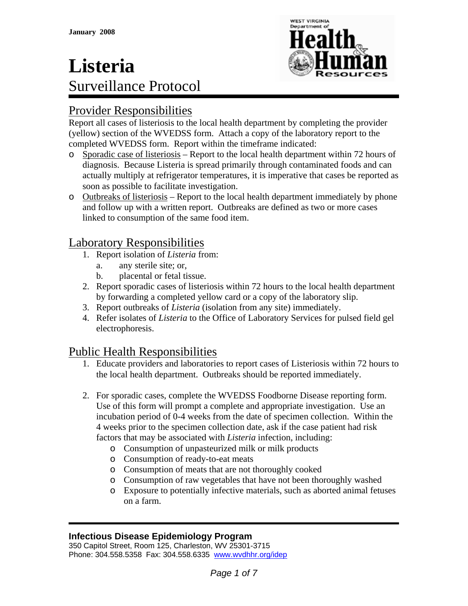

## Provider Responsibilities

Report all cases of listeriosis to the local health department by completing the provider (yellow) section of the WVEDSS form. Attach a copy of the laboratory report to the completed WVEDSS form. Report within the timeframe indicated:

- o Sporadic case of listeriosis Report to the local health department within 72 hours of diagnosis. Because Listeria is spread primarily through contaminated foods and can actually multiply at refrigerator temperatures, it is imperative that cases be reported as soon as possible to facilitate investigation.
- o Outbreaks of listeriosis Report to the local health department immediately by phone and follow up with a written report. Outbreaks are defined as two or more cases linked to consumption of the same food item.

## Laboratory Responsibilities

- 1. Report isolation of *Listeria* from:
	- a. any sterile site; or,
	- b. placental or fetal tissue.
- 2. Report sporadic cases of listeriosis within 72 hours to the local health department by forwarding a completed yellow card or a copy of the laboratory slip.
- 3. Report outbreaks of *Listeria* (isolation from any site) immediately.
- 4. Refer isolates of *Listeria* to the Office of Laboratory Services for pulsed field gel electrophoresis.

## Public Health Responsibilities

- 1. Educate providers and laboratories to report cases of Listeriosis within 72 hours to the local health department. Outbreaks should be reported immediately.
- 2. For sporadic cases, complete the WVEDSS Foodborne Disease reporting form. Use of this form will prompt a complete and appropriate investigation. Use an incubation period of 0-4 weeks from the date of specimen collection. Within the 4 weeks prior to the specimen collection date, ask if the case patient had risk factors that may be associated with *Listeria* infection, including:
	- o Consumption of unpasteurized milk or milk products
	- o Consumption of ready-to-eat meats
	- o Consumption of meats that are not thoroughly cooked
	- o Consumption of raw vegetables that have not been thoroughly washed
	- o Exposure to potentially infective materials, such as aborted animal fetuses on a farm.

#### **Infectious Disease Epidemiology Program**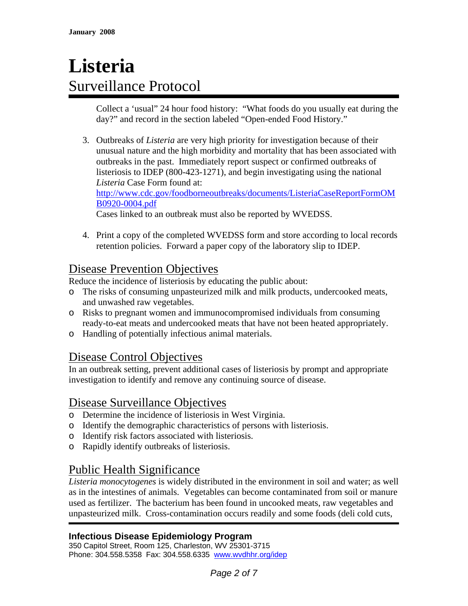Collect a 'usual" 24 hour food history: "What foods do you usually eat during the day?" and record in the section labeled "Open-ended Food History."

3. Outbreaks of *Listeria* are very high priority for investigation because of their unusual nature and the high morbidity and mortality that has been associated with outbreaks in the past. Immediately report suspect or confirmed outbreaks of listeriosis to IDEP (800-423-1271), and begin investigating using the national *Listeria* Case Form found at: [http://www.cdc.gov/foodborneoutbreaks/documents/ListeriaCaseReportFormOM](http://www.cdc.gov/foodborneoutbreaks/documents/ListeriaCaseReportFormOMB0920-0004.pdf) [B0920-0004.pdf](http://www.cdc.gov/foodborneoutbreaks/documents/ListeriaCaseReportFormOMB0920-0004.pdf)

Cases linked to an outbreak must also be reported by WVEDSS.

4. Print a copy of the completed WVEDSS form and store according to local records retention policies. Forward a paper copy of the laboratory slip to IDEP.

## Disease Prevention Objectives

Reduce the incidence of listeriosis by educating the public about:

- o The risks of consuming unpasteurized milk and milk products, undercooked meats, and unwashed raw vegetables.
- o Risks to pregnant women and immunocompromised individuals from consuming ready-to-eat meats and undercooked meats that have not been heated appropriately.
- o Handling of potentially infectious animal materials.

#### Disease Control Objectives

In an outbreak setting, prevent additional cases of listeriosis by prompt and appropriate investigation to identify and remove any continuing source of disease.

#### Disease Surveillance Objectives

- o Determine the incidence of listeriosis in West Virginia.
- o Identify the demographic characteristics of persons with listeriosis.
- o Identify risk factors associated with listeriosis.
- o Rapidly identify outbreaks of listeriosis.

## Public Health Significance

*Listeria monocytogenes* is widely distributed in the environment in soil and water; as well as in the intestines of animals. Vegetables can become contaminated from soil or manure used as fertilizer. The bacterium has been found in uncooked meats, raw vegetables and unpasteurized milk. Cross-contamination occurs readily and some foods (deli cold cuts,

#### **Infectious Disease Epidemiology Program**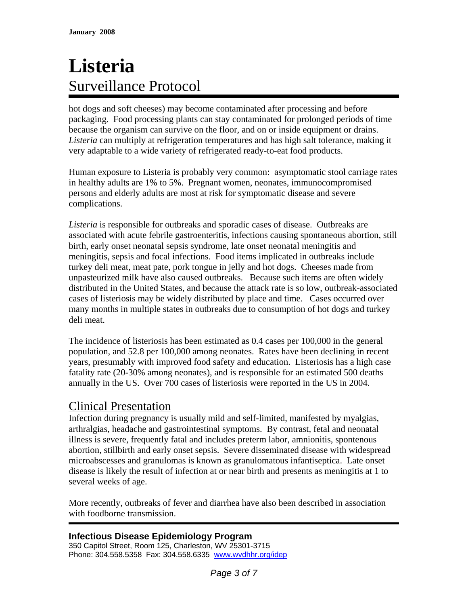hot dogs and soft cheeses) may become contaminated after processing and before packaging. Food processing plants can stay contaminated for prolonged periods of time because the organism can survive on the floor, and on or inside equipment or drains. *Listeria* can multiply at refrigeration temperatures and has high salt tolerance, making it very adaptable to a wide variety of refrigerated ready-to-eat food products.

Human exposure to Listeria is probably very common: asymptomatic stool carriage rates in healthy adults are 1% to 5%. Pregnant women, neonates, immunocompromised persons and elderly adults are most at risk for symptomatic disease and severe complications.

*Listeria* is responsible for outbreaks and sporadic cases of disease. Outbreaks are associated with acute febrile gastroenteritis, infections causing spontaneous abortion, still birth, early onset neonatal sepsis syndrome, late onset neonatal meningitis and meningitis, sepsis and focal infections. Food items implicated in outbreaks include turkey deli meat, meat pate, pork tongue in jelly and hot dogs. Cheeses made from unpasteurized milk have also caused outbreaks. Because such items are often widely distributed in the United States, and because the attack rate is so low, outbreak-associated cases of listeriosis may be widely distributed by place and time. Cases occurred over many months in multiple states in outbreaks due to consumption of hot dogs and turkey deli meat.

The incidence of listeriosis has been estimated as 0.4 cases per 100,000 in the general population, and 52.8 per 100,000 among neonates. Rates have been declining in recent years, presumably with improved food safety and education. Listeriosis has a high case fatality rate (20-30% among neonates), and is responsible for an estimated 500 deaths annually in the US. Over 700 cases of listeriosis were reported in the US in 2004.

#### Clinical Presentation

Infection during pregnancy is usually mild and self-limited, manifested by myalgias, arthralgias, headache and gastrointestinal symptoms. By contrast, fetal and neonatal illness is severe, frequently fatal and includes preterm labor, amnionitis, spontenous abortion, stillbirth and early onset sepsis. Severe disseminated disease with widespread microabscesses and granulomas is known as granulomatous infantiseptica. Late onset disease is likely the result of infection at or near birth and presents as meningitis at 1 to several weeks of age.

More recently, outbreaks of fever and diarrhea have also been described in association with foodborne transmission.

**Infectious Disease Epidemiology Program**  350 Capitol Street, Room 125, Charleston, WV 25301-3715 Phone: 304.558.5358 Fax: 304.558.6335 www.wvdhhr.org/idep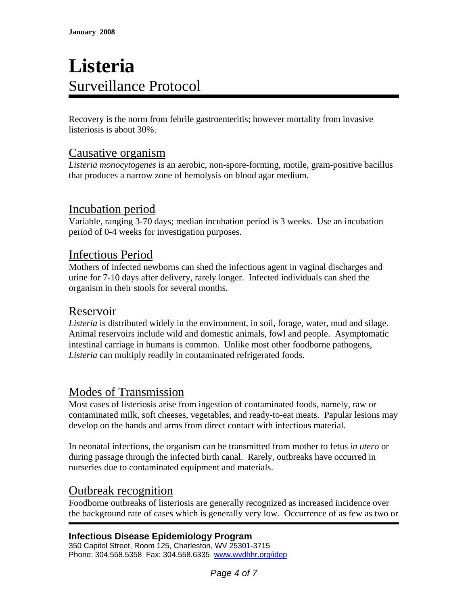Recovery is the norm from febrile gastroenteritis; however mortality from invasive listeriosis is about 30%.

## Causative organism

*Listeria monocytogenes* is an aerobic, non-spore-forming, motile, gram-positive bacillus that produces a narrow zone of hemolysis on blood agar medium.

#### Incubation period

Variable, ranging 3-70 days; median incubation period is 3 weeks. Use an incubation period of 0-4 weeks for investigation purposes.

#### Infectious Period

Mothers of infected newborns can shed the infectious agent in vaginal discharges and urine for 7-10 days after delivery, rarely longer. Infected individuals can shed the organism in their stools for several months.

#### Reservoir

*Listeria* is distributed widely in the environment, in soil, forage, water, mud and silage. Animal reservoirs include wild and domestic animals, fowl and people. Asymptomatic intestinal carriage in humans is common. Unlike most other foodborne pathogens, *Listeria* can multiply readily in contaminated refrigerated foods.

## Modes of Transmission

Most cases of listeriosis arise from ingestion of contaminated foods, namely, raw or contaminated milk, soft cheeses, vegetables, and ready-to-eat meats. Papular lesions may develop on the hands and arms from direct contact with infectious material.

In neonatal infections, the organism can be transmitted from mother to fetus *in utero* or during passage through the infected birth canal. Rarely, outbreaks have occurred in nurseries due to contaminated equipment and materials.

#### Outbreak recognition

Foodborne outbreaks of listeriosis are generally recognized as increased incidence over the background rate of cases which is generally very low. Occurrence of as few as two or

#### **Infectious Disease Epidemiology Program**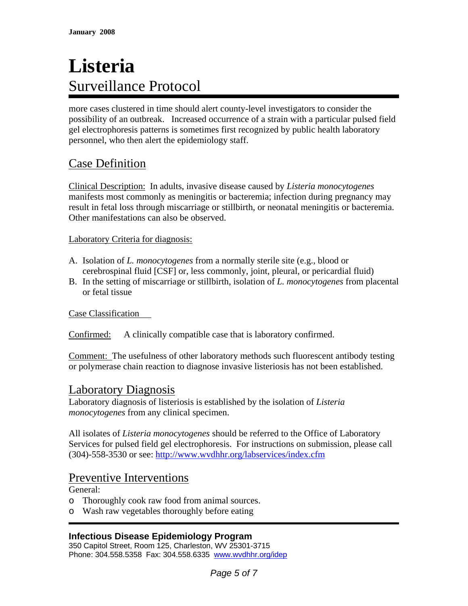more cases clustered in time should alert county-level investigators to consider the possibility of an outbreak. Increased occurrence of a strain with a particular pulsed field gel electrophoresis patterns is sometimes first recognized by public health laboratory personnel, who then alert the epidemiology staff.

## Case Definition

Clinical Description: In adults, invasive disease caused by *Listeria monocytogenes* manifests most commonly as meningitis or bacteremia; infection during pregnancy may result in fetal loss through miscarriage or stillbirth, or neonatal meningitis or bacteremia. Other manifestations can also be observed.

#### Laboratory Criteria for diagnosis:

- A. Isolation of *L. monocytogenes* from a normally sterile site (e.g., blood or cerebrospinal fluid [CSF] or, less commonly, joint, pleural, or pericardial fluid)
- B. In the setting of miscarriage or stillbirth, isolation of *L. monocytogenes* from placental or fetal tissue

Case Classification

Confirmed: A clinically compatible case that is laboratory confirmed.

Comment: The usefulness of other laboratory methods such fluorescent antibody testing or polymerase chain reaction to diagnose invasive listeriosis has not been established.

#### Laboratory Diagnosis

Laboratory diagnosis of listeriosis is established by the isolation of *Listeria monocytogenes* from any clinical specimen.

All isolates of *Listeria monocytogenes* should be referred to the Office of Laboratory Services for pulsed field gel electrophoresis. For instructions on submission, please call (304)-558-3530 or see: <http://www.wvdhhr.org/labservices/index.cfm>

#### Preventive Interventions

General:

- o Thoroughly cook raw food from animal sources.
- o Wash raw vegetables thoroughly before eating

#### **Infectious Disease Epidemiology Program**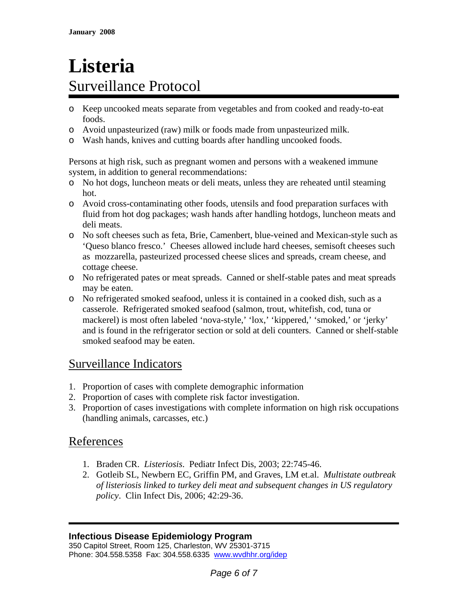- o Keep uncooked meats separate from vegetables and from cooked and ready-to-eat foods.
- o Avoid unpasteurized (raw) milk or foods made from unpasteurized milk.
- o Wash hands, knives and cutting boards after handling uncooked foods.

Persons at high risk, such as pregnant women and persons with a weakened immune system, in addition to general recommendations:

- o No hot dogs, luncheon meats or deli meats, unless they are reheated until steaming hot.
- o Avoid cross-contaminating other foods, utensils and food preparation surfaces with fluid from hot dog packages; wash hands after handling hotdogs, luncheon meats and deli meats.
- o No soft cheeses such as feta, Brie, Camenbert, blue-veined and Mexican-style such as 'Queso blanco fresco.' Cheeses allowed include hard cheeses, semisoft cheeses such as mozzarella, pasteurized processed cheese slices and spreads, cream cheese, and cottage cheese.
- o No refrigerated pates or meat spreads. Canned or shelf-stable pates and meat spreads may be eaten.
- o No refrigerated smoked seafood, unless it is contained in a cooked dish, such as a casserole. Refrigerated smoked seafood (salmon, trout, whitefish, cod, tuna or mackerel) is most often labeled 'nova-style,' 'lox,' 'kippered,' 'smoked,' or 'jerky' and is found in the refrigerator section or sold at deli counters. Canned or shelf-stable smoked seafood may be eaten.

## Surveillance Indicators

- 1. Proportion of cases with complete demographic information
- 2. Proportion of cases with complete risk factor investigation.
- 3. Proportion of cases investigations with complete information on high risk occupations (handling animals, carcasses, etc.)

## References

- 1. Braden CR. *Listeriosis*. Pediatr Infect Dis, 2003; 22:745-46.
- 2. Gotleib SL, Newbern EC, Griffin PM, and Graves, LM et.al. *Multistate outbreak of listeriosis linked to turkey deli meat and subsequent changes in US regulatory policy*. Clin Infect Dis, 2006; 42:29-36.

#### **Infectious Disease Epidemiology Program**